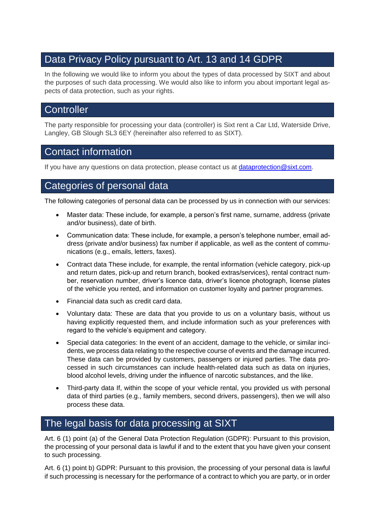# Data Privacy Policy pursuant to Art. 13 and 14 GDPR

In the following we would like to inform you about the types of data processed by SIXT and about the purposes of such data processing. We would also like to inform you about important legal aspects of data protection, such as your rights.

# **Controller**

The party responsible for processing your data (controller) is Sixt rent a Car Ltd, Waterside Drive, Langley, GB Slough SL3 6EY (hereinafter also referred to as SIXT).

# Contact information

If you have any questions on data protection, please contact us at [dataprotection@sixt.com.](mailto:dataprotection@sixt.com)

# Categories of personal data

The following categories of personal data can be processed by us in connection with our services:

- Master data: These include, for example, a person's first name, surname, address (private and/or business), date of birth.
- Communication data: These include, for example, a person's telephone number, email address (private and/or business) fax number if applicable, as well as the content of communications (e.g., emails, letters, faxes).
- Contract data These include, for example, the rental information (vehicle category, pick-up and return dates, pick-up and return branch, booked extras/services), rental contract number, reservation number, driver's licence data, driver's licence photograph, license plates of the vehicle you rented, and information on customer loyalty and partner programmes.
- Financial data such as credit card data.
- Voluntary data: These are data that you provide to us on a voluntary basis, without us having explicitly requested them, and include information such as your preferences with regard to the vehicle's equipment and category.
- Special data categories: In the event of an accident, damage to the vehicle, or similar incidents, we process data relating to the respective course of events and the damage incurred. These data can be provided by customers, passengers or injured parties. The data processed in such circumstances can include health-related data such as data on injuries, blood alcohol levels, driving under the influence of narcotic substances, and the like.
- Third-party data If, within the scope of your vehicle rental, you provided us with personal data of third parties (e.g., family members, second drivers, passengers), then we will also process these data.

# The legal basis for data processing at SIXT

Art. 6 (1) point (a) of the General Data Protection Regulation (GDPR): Pursuant to this provision, the processing of your personal data is lawful if and to the extent that you have given your consent to such processing.

Art. 6 (1) point b) GDPR: Pursuant to this provision, the processing of your personal data is lawful if such processing is necessary for the performance of a contract to which you are party, or in order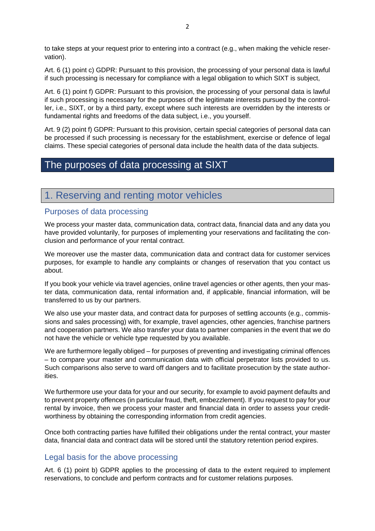to take steps at your request prior to entering into a contract (e.g., when making the vehicle reservation).

Art. 6 (1) point c) GDPR: Pursuant to this provision, the processing of your personal data is lawful if such processing is necessary for compliance with a legal obligation to which SIXT is subject,

Art. 6 (1) point f) GDPR: Pursuant to this provision, the processing of your personal data is lawful if such processing is necessary for the purposes of the legitimate interests pursued by the controller, i.e., SIXT, or by a third party, except where such interests are overridden by the interests or fundamental rights and freedoms of the data subject, i.e., you yourself.

Art. 9 (2) point f) GDPR: Pursuant to this provision, certain special categories of personal data can be processed if such processing is necessary for the establishment, exercise or defence of legal claims. These special categories of personal data include the health data of the data subjects.

# The purposes of data processing at SIXT

# 1. Reserving and renting motor vehicles

### Purposes of data processing

We process your master data, communication data, contract data, financial data and any data you have provided voluntarily, for purposes of implementing your reservations and facilitating the conclusion and performance of your rental contract.

We moreover use the master data, communication data and contract data for customer services purposes, for example to handle any complaints or changes of reservation that you contact us about.

If you book your vehicle via travel agencies, online travel agencies or other agents, then your master data, communication data, rental information and, if applicable, financial information, will be transferred to us by our partners.

We also use your master data, and contract data for purposes of settling accounts (e.g., commissions and sales processing) with, for example, travel agencies, other agencies, franchise partners and cooperation partners. We also transfer your data to partner companies in the event that we do not have the vehicle or vehicle type requested by you available.

We are furthermore legally obliged – for purposes of preventing and investigating criminal offences – to compare your master and communication data with official perpetrator lists provided to us. Such comparisons also serve to ward off dangers and to facilitate prosecution by the state authorities.

We furthermore use your data for your and our security, for example to avoid payment defaults and to prevent property offences (in particular fraud, theft, embezzlement). If you request to pay for your rental by invoice, then we process your master and financial data in order to assess your creditworthiness by obtaining the corresponding information from credit agencies.

Once both contracting parties have fulfilled their obligations under the rental contract, your master data, financial data and contract data will be stored until the statutory retention period expires.

### Legal basis for the above processing

Art. 6 (1) point b) GDPR applies to the processing of data to the extent required to implement reservations, to conclude and perform contracts and for customer relations purposes.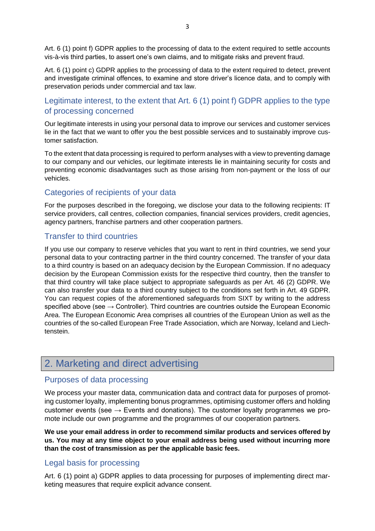Art. 6 (1) point f) GDPR applies to the processing of data to the extent required to settle accounts vis-à-vis third parties, to assert one's own claims, and to mitigate risks and prevent fraud.

Art. 6 (1) point c) GDPR applies to the processing of data to the extent required to detect, prevent and investigate criminal offences, to examine and store driver's licence data, and to comply with preservation periods under commercial and tax law.

# Legitimate interest, to the extent that Art. 6 (1) point f) GDPR applies to the type of processing concerned

Our legitimate interests in using your personal data to improve our services and customer services lie in the fact that we want to offer you the best possible services and to sustainably improve customer satisfaction.

To the extent that data processing is required to perform analyses with a view to preventing damage to our company and our vehicles, our legitimate interests lie in maintaining security for costs and preventing economic disadvantages such as those arising from non-payment or the loss of our vehicles.

## Categories of recipients of your data

For the purposes described in the foregoing, we disclose your data to the following recipients: IT service providers, call centres, collection companies, financial services providers, credit agencies, agency partners, franchise partners and other cooperation partners.

## Transfer to third countries

If you use our company to reserve vehicles that you want to rent in third countries, we send your personal data to your contracting partner in the third country concerned. The transfer of your data to a third country is based on an adequacy decision by the European Commission. If no adequacy decision by the European Commission exists for the respective third country, then the transfer to that third country will take place subject to appropriate safeguards as per Art. 46 (2) GDPR. We can also transfer your data to a third country subject to the conditions set forth in Art. 49 GDPR. You can request copies of the aforementioned safeguards from SIXT by writing to the address specified above (see  $\rightarrow$  Controller). Third countries are countries outside the European Economic Area. The European Economic Area comprises all countries of the European Union as well as the countries of the so-called European Free Trade Association, which are Norway, Iceland and Liechtenstein.

# 2. Marketing and direct advertising

### Purposes of data processing

We process your master data, communication data and contract data for purposes of promoting customer loyalty, implementing bonus programmes, optimising customer offers and holding customer events (see  $\rightarrow$  Events and donations). The customer loyalty programmes we promote include our own programme and the programmes of our cooperation partners.

**We use your email address in order to recommend similar products and services offered by us. You may at any time object to your email address being used without incurring more than the cost of transmission as per the applicable basic fees.** 

## Legal basis for processing

Art. 6 (1) point a) GDPR applies to data processing for purposes of implementing direct marketing measures that require explicit advance consent.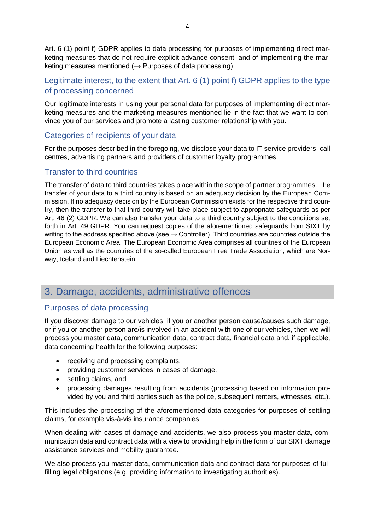Art. 6 (1) point f) GDPR applies to data processing for purposes of implementing direct marketing measures that do not require explicit advance consent, and of implementing the marketing measures mentioned ( $\rightarrow$  Purposes of data processing).

# Legitimate interest, to the extent that Art. 6 (1) point f) GDPR applies to the type of processing concerned

Our legitimate interests in using your personal data for purposes of implementing direct marketing measures and the marketing measures mentioned lie in the fact that we want to convince you of our services and promote a lasting customer relationship with you.

# Categories of recipients of your data

For the purposes described in the foregoing, we disclose your data to IT service providers, call centres, advertising partners and providers of customer loyalty programmes.

# Transfer to third countries

The transfer of data to third countries takes place within the scope of partner programmes. The transfer of your data to a third country is based on an adequacy decision by the European Commission. If no adequacy decision by the European Commission exists for the respective third country, then the transfer to that third country will take place subject to appropriate safeguards as per Art. 46 (2) GDPR. We can also transfer your data to a third country subject to the conditions set forth in Art. 49 GDPR. You can request copies of the aforementioned safeguards from SIXT by writing to the address specified above (see  $\rightarrow$  Controller). Third countries are countries outside the European Economic Area. The European Economic Area comprises all countries of the European Union as well as the countries of the so-called European Free Trade Association, which are Norway, Iceland and Liechtenstein.

# 3. Damage, accidents, administrative offences

### Purposes of data processing

If you discover damage to our vehicles, if you or another person cause/causes such damage, or if you or another person are/is involved in an accident with one of our vehicles, then we will process you master data, communication data, contract data, financial data and, if applicable, data concerning health for the following purposes:

- receiving and processing complaints,
- providing customer services in cases of damage,
- settling claims, and
- processing damages resulting from accidents (processing based on information provided by you and third parties such as the police, subsequent renters, witnesses, etc.).

This includes the processing of the aforementioned data categories for purposes of settling claims, for example vis-à-vis insurance companies

When dealing with cases of damage and accidents, we also process you master data, communication data and contract data with a view to providing help in the form of our SIXT damage assistance services and mobility guarantee.

We also process you master data, communication data and contract data for purposes of fulfilling legal obligations (e.g. providing information to investigating authorities).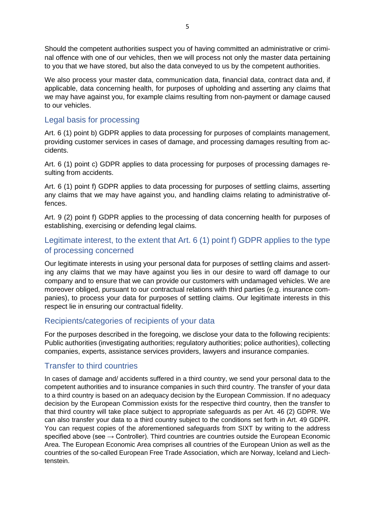Should the competent authorities suspect you of having committed an administrative or criminal offence with one of our vehicles, then we will process not only the master data pertaining to you that we have stored, but also the data conveyed to us by the competent authorities.

We also process your master data, communication data, financial data, contract data and, if applicable, data concerning health, for purposes of upholding and asserting any claims that we may have against you, for example claims resulting from non-payment or damage caused to our vehicles.

## Legal basis for processing

Art. 6 (1) point b) GDPR applies to data processing for purposes of complaints management, providing customer services in cases of damage, and processing damages resulting from accidents.

Art. 6 (1) point c) GDPR applies to data processing for purposes of processing damages resulting from accidents.

Art. 6 (1) point f) GDPR applies to data processing for purposes of settling claims, asserting any claims that we may have against you, and handling claims relating to administrative offences.

Art. 9 (2) point f) GDPR applies to the processing of data concerning health for purposes of establishing, exercising or defending legal claims.

# Legitimate interest, to the extent that Art. 6 (1) point f) GDPR applies to the type of processing concerned

Our legitimate interests in using your personal data for purposes of settling claims and asserting any claims that we may have against you lies in our desire to ward off damage to our company and to ensure that we can provide our customers with undamaged vehicles. We are moreover obliged, pursuant to our contractual relations with third parties (e.g. insurance companies), to process your data for purposes of settling claims. Our legitimate interests in this respect lie in ensuring our contractual fidelity.

## Recipients/categories of recipients of your data

For the purposes described in the foregoing, we disclose your data to the following recipients: Public authorities (investigating authorities; regulatory authorities; police authorities), collecting companies, experts, assistance services providers, lawyers and insurance companies.

## Transfer to third countries

In cases of damage and/ accidents suffered in a third country, we send your personal data to the competent authorities and to insurance companies in such third country. The transfer of your data to a third country is based on an adequacy decision by the European Commission. If no adequacy decision by the European Commission exists for the respective third country, then the transfer to that third country will take place subject to appropriate safeguards as per Art. 46 (2) GDPR. We can also transfer your data to a third country subject to the conditions set forth in Art. 49 GDPR. You can request copies of the aforementioned safeguards from SIXT by writing to the address specified above (see  $\rightarrow$  Controller). Third countries are countries outside the European Economic Area. The European Economic Area comprises all countries of the European Union as well as the countries of the so-called European Free Trade Association, which are Norway, Iceland and Liechtenstein.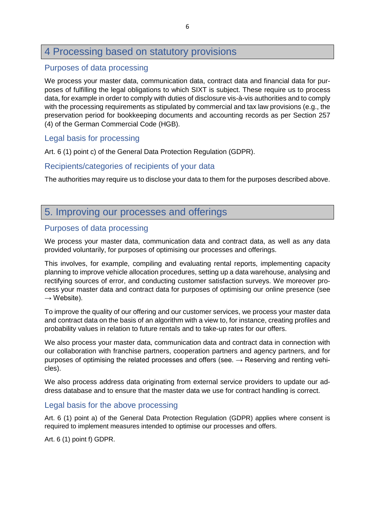# 4 Processing based on statutory provisions

## Purposes of data processing

We process your master data, communication data, contract data and financial data for purposes of fulfilling the legal obligations to which SIXT is subject. These require us to process data, for example in order to comply with duties of disclosure vis-à-vis authorities and to comply with the processing requirements as stipulated by commercial and tax law provisions (e.g., the preservation period for bookkeeping documents and accounting records as per Section 257 (4) of the German Commercial Code (HGB).

### Legal basis for processing

Art. 6 (1) point c) of the General Data Protection Regulation (GDPR).

### Recipients/categories of recipients of your data

The authorities may require us to disclose your data to them for the purposes described above.

# 5. Improving our processes and offerings

## Purposes of data processing

We process your master data, communication data and contract data, as well as any data provided voluntarily, for purposes of optimising our processes and offerings.

This involves, for example, compiling and evaluating rental reports, implementing capacity planning to improve vehicle allocation procedures, setting up a data warehouse, analysing and rectifying sources of error, and conducting customer satisfaction surveys. We moreover process your master data and contract data for purposes of optimising our online presence (see  $\rightarrow$  Website).

To improve the quality of our offering and our customer services, we process your master data and contract data on the basis of an algorithm with a view to, for instance, creating profiles and probability values in relation to future rentals and to take-up rates for our offers.

We also process your master data, communication data and contract data in connection with our collaboration with franchise partners, cooperation partners and agency partners, and for purposes of optimising the related processes and offers (see.  $\rightarrow$  Reserving and renting vehicles).

We also process address data originating from external service providers to update our address database and to ensure that the master data we use for contract handling is correct.

### Legal basis for the above processing

Art. 6 (1) point a) of the General Data Protection Regulation (GDPR) applies where consent is required to implement measures intended to optimise our processes and offers.

Art. 6 (1) point f) GDPR.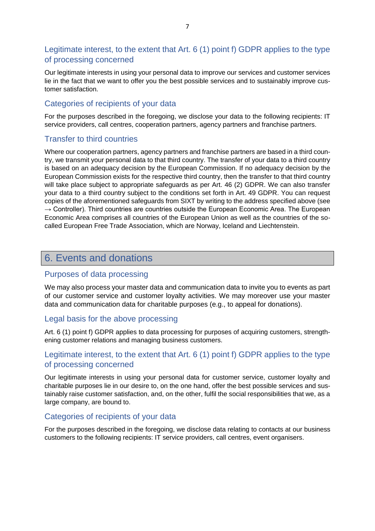## Legitimate interest, to the extent that Art. 6 (1) point f) GDPR applies to the type of processing concerned

Our legitimate interests in using your personal data to improve our services and customer services lie in the fact that we want to offer you the best possible services and to sustainably improve customer satisfaction.

## Categories of recipients of your data

For the purposes described in the foregoing, we disclose your data to the following recipients: IT service providers, call centres, cooperation partners, agency partners and franchise partners.

### Transfer to third countries

Where our cooperation partners, agency partners and franchise partners are based in a third country, we transmit your personal data to that third country. The transfer of your data to a third country is based on an adequacy decision by the European Commission. If no adequacy decision by the European Commission exists for the respective third country, then the transfer to that third country will take place subject to appropriate safeguards as per Art. 46 (2) GDPR. We can also transfer your data to a third country subject to the conditions set forth in Art. 49 GDPR. You can request copies of the aforementioned safeguards from SIXT by writing to the address specified above (see  $\rightarrow$  Controller). Third countries are countries outside the European Economic Area. The European Economic Area comprises all countries of the European Union as well as the countries of the socalled European Free Trade Association, which are Norway, Iceland and Liechtenstein.

# 6. Events and donations

### Purposes of data processing

We may also process your master data and communication data to invite you to events as part of our customer service and customer loyalty activities. We may moreover use your master data and communication data for charitable purposes (e.g., to appeal for donations).

### Legal basis for the above processing

Art. 6 (1) point f) GDPR applies to data processing for purposes of acquiring customers, strengthening customer relations and managing business customers.

## Legitimate interest, to the extent that Art. 6 (1) point f) GDPR applies to the type of processing concerned

Our legitimate interests in using your personal data for customer service, customer loyalty and charitable purposes lie in our desire to, on the one hand, offer the best possible services and sustainably raise customer satisfaction, and, on the other, fulfil the social responsibilities that we, as a large company, are bound to.

### Categories of recipients of your data

For the purposes described in the foregoing, we disclose data relating to contacts at our business customers to the following recipients: IT service providers, call centres, event organisers.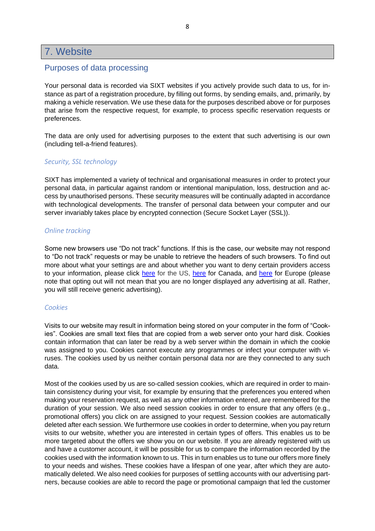# 7. Website

### Purposes of data processing

Your personal data is recorded via SIXT websites if you actively provide such data to us, for instance as part of a registration procedure, by filling out forms, by sending emails, and, primarily, by making a vehicle reservation. We use these data for the purposes described above or for purposes that arise from the respective request, for example, to process specific reservation requests or preferences.

The data are only used for advertising purposes to the extent that such advertising is our own (including tell-a-friend features).

#### *Security, SSL technology*

SIXT has implemented a variety of technical and organisational measures in order to protect your personal data, in particular against random or intentional manipulation, loss, destruction and access by unauthorised persons. These security measures will be continually adapted in accordance with technological developments. The transfer of personal data between your computer and our server invariably takes place by encrypted connection (Secure Socket Layer (SSL)).

#### *Online tracking*

Some new browsers use "Do not track" functions. If this is the case, our website may not respond to "Do not track" requests or may be unable to retrieve the headers of such browsers. To find out more about what your settings are and about whether you want to deny certain providers access to your information, please click [here](http://www.aboutads.info/choices/#completed) for the US, [here](http://youradchoices.ca/) for Canada, and [here](http://youronlinechoices.eu/) for Europe (please note that opting out will not mean that you are no longer displayed any advertising at all. Rather, you will still receive generic advertising).

#### *Cookies*

Visits to our website may result in information being stored on your computer in the form of "Cookies". Cookies are small text files that are copied from a web server onto your hard disk. Cookies contain information that can later be read by a web server within the domain in which the cookie was assigned to you. Cookies cannot execute any programmes or infect your computer with viruses. The cookies used by us neither contain personal data nor are they connected to any such data.

Most of the cookies used by us are so-called session cookies, which are required in order to maintain consistency during your visit, for example by ensuring that the preferences you entered when making your reservation request, as well as any other information entered, are remembered for the duration of your session. We also need session cookies in order to ensure that any offers (e.g., promotional offers) you click on are assigned to your request. Session cookies are automatically deleted after each session. We furthermore use cookies in order to determine, when you pay return visits to our website, whether you are interested in certain types of offers. This enables us to be more targeted about the offers we show you on our website. If you are already registered with us and have a customer account, it will be possible for us to compare the information recorded by the cookies used with the information known to us. This in turn enables us to tune our offers more finely to your needs and wishes. These cookies have a lifespan of one year, after which they are automatically deleted. We also need cookies for purposes of settling accounts with our advertising partners, because cookies are able to record the page or promotional campaign that led the customer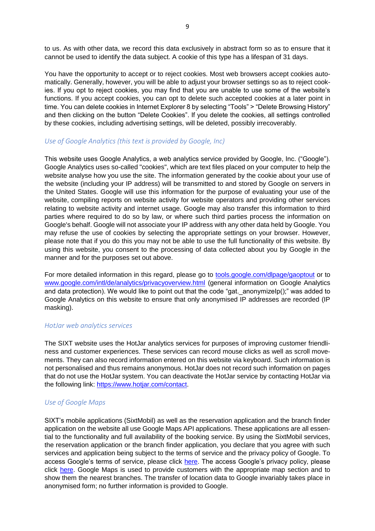to us. As with other data, we record this data exclusively in abstract form so as to ensure that it cannot be used to identify the data subject. A cookie of this type has a lifespan of 31 days.

You have the opportunity to accept or to reject cookies. Most web browsers accept cookies automatically. Generally, however, you will be able to adjust your browser settings so as to reject cookies. If you opt to reject cookies, you may find that you are unable to use some of the website's functions. If you accept cookies, you can opt to delete such accepted cookies at a later point in time. You can delete cookies in Internet Explorer 8 by selecting "Tools" > "Delete Browsing History" and then clicking on the button "Delete Cookies". If you delete the cookies, all settings controlled by these cookies, including advertising settings, will be deleted, possibly irrecoverably.

#### *Use of Google Analytics (this text is provided by Google, Inc)*

This website uses Google Analytics, a web analytics service provided by Google, Inc. ("Google"). Google Analytics uses so-called "cookies", which are text files placed on your computer to help the website analyse how you use the site. The information generated by the cookie about your use of the website (including your IP address) will be transmitted to and stored by Google on servers in the United States. Google will use this information for the purpose of evaluating your use of the website, compiling reports on website activity for website operators and providing other services relating to website activity and internet usage. Google may also transfer this information to third parties where required to do so by law, or where such third parties process the information on Google's behalf. Google will not associate your IP address with any other data held by Google. You may refuse the use of cookies by selecting the appropriate settings on your browser. However, please note that if you do this you may not be able to use the full functionality of this website. By using this website, you consent to the processing of data collected about you by Google in the manner and for the purposes set out above.

For more detailed information in this regard, please go to [tools.google.com/dlpage/gaoptout](http://tools.google.com/dlpage/gaoptout?hl=de) or to [www.google.com/intl/de/analytics/privacyoverview.html](http://www.google.com/intl/de/analytics/privacyoverview.html) (general information on Google Analytics and data protection). We would like to point out that the code "gat. anonymizelp();" was added to Google Analytics on this website to ensure that only anonymised IP addresses are recorded (IP masking).

#### *HotJar web analytics services*

The SIXT website uses the HotJar analytics services for purposes of improving customer friendliness and customer experiences. These services can record mouse clicks as well as scroll movements. They can also record information entered on this website via keyboard. Such information is not personalised and thus remains anonymous. HotJar does not record such information on pages that do not use the HotJar system. You can deactivate the HotJar service by contacting HotJar via the following link: [https://www.hotjar.com/contact.](https://www.hotjar.com/contact)

#### *Use of Google Maps*

SIXT's mobile applications (SixtMobil) as well as the reservation application and the branch finder application on the website all use Google Maps API applications. These applications are all essential to the functionality and full availability of the booking service. By using the SixtMobil services, the reservation application or the branch finder application, you declare that you agree with such services and application being subject to the terms of service and the privacy policy of Google. To access Google's terms of service, please click [here.](http://www.google.de/intl/de/policies/terms/regional.html) The access Google's privacy policy, please click [here.](http://www.google.de/intl/de/policies/privacy/) Google Maps is used to provide customers with the appropriate map section and to show them the nearest branches. The transfer of location data to Google invariably takes place in anonymised form; no further information is provided to Google.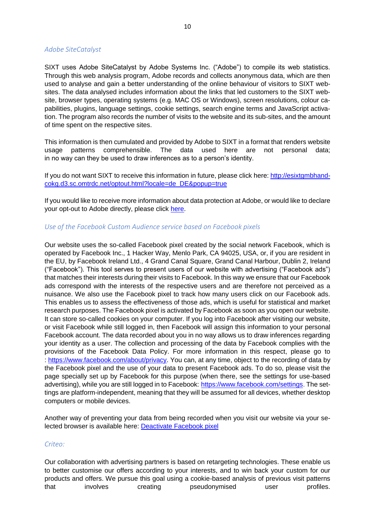#### *Adobe SiteCatalyst*

SIXT uses Adobe SiteCatalyst by Adobe Systems Inc. ("Adobe") to compile its web statistics. Through this web analysis program, Adobe records and collects anonymous data, which are then used to analyse and gain a better understanding of the online behaviour of visitors to SIXT websites. The data analysed includes information about the links that led customers to the SIXT website, browser types, operating systems (e.g. MAC OS or Windows), screen resolutions, colour capabilities, plugins, language settings, cookie settings, search engine terms and JavaScript activation. The program also records the number of visits to the website and its sub-sites, and the amount of time spent on the respective sites.

This information is then cumulated and provided by Adobe to SIXT in a format that renders website usage patterns comprehensible. The data used here are not personal data; in no way can they be used to draw inferences as to a person's identity.

If you do not want SIXT to receive this information in future, please click here: [http://esixtgmbhand](http://esixtgmbhandcokg.d3.sc.omtrdc.net/optout.html?locale=de_DE&popup=true)[cokg.d3.sc.omtrdc.net/optout.html?locale=de\\_DE&popup=true](http://esixtgmbhandcokg.d3.sc.omtrdc.net/optout.html?locale=de_DE&popup=true)

If you would like to receive more information about data protection at Adobe, or would like to declare your opt-out to Adobe directly, please click [here.](http://www.adobe.com/de/privacy.html#optout)

#### *Use of the Facebook Custom Audience service based on Facebook pixels*

Our website uses the so-called Facebook pixel created by the social network Facebook, which is operated by Facebook Inc., 1 Hacker Way, Menlo Park, CA 94025, USA, or, if you are resident in the EU, by Facebook Ireland Ltd., 4 Grand Canal Square, Grand Canal Harbour, Dublin 2, Ireland ("Facebook"). This tool serves to present users of our website with advertising ("Facebook ads") that matches their interests during their visits to Facebook. In this way we ensure that our Facebook ads correspond with the interests of the respective users and are therefore not perceived as a nuisance. We also use the Facebook pixel to track how many users click on our Facebook ads. This enables us to assess the effectiveness of those ads, which is useful for statistical and market research purposes. The Facebook pixel is activated by Facebook as soon as you open our website. It can store so-called cookies on your computer. If you log into Facebook after visiting our website, or visit Facebook while still logged in, then Facebook will assign this information to your personal Facebook account. The data recorded about you in no way allows us to draw inferences regarding your identity as a user. The collection and processing of the data by Facebook complies with the provisions of the Facebook Data Policy. For more information in this respect, please go to : [https://www.facebook.com/about/privacy.](https://www.facebook.com/about/privacy) You can, at any time, object to the recording of data by the Facebook pixel and the use of your data to present Facebook ads. To do so, please visit the page specially set up by Facebook for this purpose (when there, see the settings for use-based advertising), while you are still logged in to Facebook: [https://www.facebook.com/settings.](https://www.facebook.com/settings) The settings are platform-independent, meaning that they will be assumed for all devices, whether desktop computers or mobile devices.

Another way of preventing your data from being recorded when you visit our website via your selected browser is available here: [Deactivate Facebook pixel](https://www.sixt.de/informationen/datenschutz/) 

#### *Criteo:*

Our collaboration with advertising partners is based on retargeting technologies. These enable us to better customise our offers according to your interests, and to win back your custom for our products and offers. We pursue this goal using a cookie-based analysis of previous visit patterns that involves creating pseudonymised user profiles.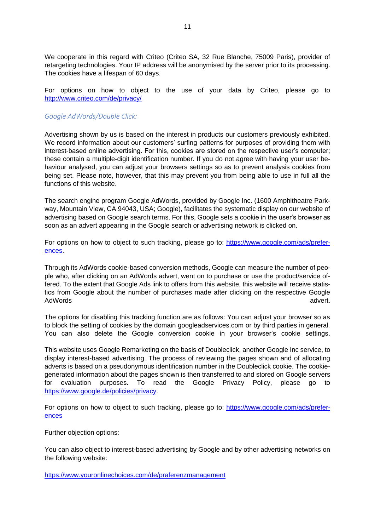We cooperate in this regard with Criteo (Criteo SA, 32 Rue Blanche, 75009 Paris), provider of retargeting technologies. Your IP address will be anonymised by the server prior to its processing. The cookies have a lifespan of 60 days.

For options on how to object to the use of your data by Criteo, please go to <http://www.criteo.com/de/privacy/>

#### *Google AdWords/Double Click:*

Advertising shown by us is based on the interest in products our customers previously exhibited. We record information about our customers' surfing patterns for purposes of providing them with interest-based online advertising. For this, cookies are stored on the respective user's computer; these contain a multiple-digit identification number. If you do not agree with having your user behaviour analysed, you can adjust your browsers settings so as to prevent analysis cookies from being set. Please note, however, that this may prevent you from being able to use in full all the functions of this website.

The search engine program Google AdWords, provided by Google Inc. (1600 Amphitheatre Parkway, Mountain View, CA 94043, USA; Google), facilitates the systematic display on our website of advertising based on Google search terms. For this, Google sets a cookie in the user's browser as soon as an advert appearing in the Google search or advertising network is clicked on.

For options on how to object to such tracking, please go to: [https://www.google.com/ads/prefer](https://www.google.com/ads/preferences)[ences.](https://www.google.com/ads/preferences)

Through its AdWords cookie-based conversion methods, Google can measure the number of people who, after clicking on an AdWords advert, went on to purchase or use the product/service offered. To the extent that Google Ads link to offers from this website, this website will receive statistics from Google about the number of purchases made after clicking on the respective Google AdWords advert.

The options for disabling this tracking function are as follows: You can adjust your browser so as to block the setting of cookies by the domain googleadservices.com or by third parties in general. You can also delete the Google conversion cookie in your browser's cookie settings.

This website uses Google Remarketing on the basis of Doubleclick, another Google Inc service, to display interest-based advertising. The process of reviewing the pages shown and of allocating adverts is based on a pseudonymous identification number in the Doubleclick cookie. The cookiegenerated information about the pages shown is then transferred to and stored on Google servers for evaluation purposes. To read the Google Privacy Policy, please go to [https://www.google.de/policies/privacy.](https://www.google.de/policies/privacy)

For options on how to object to such tracking, please go to: [https://www.google.com/ads/prefer](https://www.google.com/ads/preferences)[ences](https://www.google.com/ads/preferences)

Further objection options:

You can also object to interest-based advertising by Google and by other advertising networks on the following website:

<https://www.youronlinechoices.com/de/praferenzmanagement>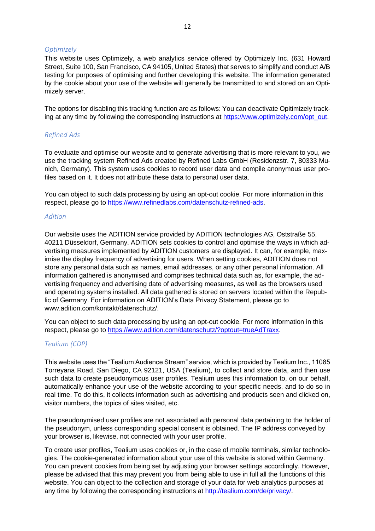#### *Optimizely*

This website uses Optimizely, a web analytics service offered by Optimizely Inc. (631 Howard Street, Suite 100, San Francisco, CA 94105, United States) that serves to simplify and conduct A/B testing for purposes of optimising and further developing this website. The information generated by the cookie about your use of the website will generally be transmitted to and stored on an Optimizely server.

The options for disabling this tracking function are as follows: You can deactivate Opitimizely tracking at any time by following the corresponding instructions at [https://www.optimizely.com/opt\\_out.](https://www.optimizely.com/opt_out)

#### *Refined Ads*

To evaluate and optimise our website and to generate advertising that is more relevant to you, we use the tracking system Refined Ads created by Refined Labs GmbH (Residenzstr. 7, 80333 Munich, Germany). This system uses cookies to record user data and compile anonymous user profiles based on it. It does not attribute these data to personal user data.

You can object to such data processing by using an opt-out cookie. For more information in this respect, please go to [https://www.refinedlabs.com/datenschutz-refined-ads.](https://www.refinedlabs.com/datenschutz-refined-ads)

#### *Adition*

Our website uses the ADITION service provided by ADITION technologies AG, Oststraße 55, 40211 Düsseldorf, Germany. ADITION sets cookies to control and optimise the ways in which advertising measures implemented by ADITION customers are displayed. It can, for example, maximise the display frequency of advertising for users. When setting cookies, ADITION does not store any personal data such as names, email addresses, or any other personal information. All information gathered is anonymised and comprises technical data such as, for example, the advertising frequency and advertising date of advertising measures, as well as the browsers used and operating systems installed. All data gathered is stored on servers located within the Republic of Germany. For information on ADITION's Data Privacy Statement, please go to [www.adition.com/kontakt/datenschutz/.](http://www.adition.com/kontakt/datenschutz/)

You can object to such data processing by using an opt-out cookie. For more information in this respect, please go to [https://www.adition.com/datenschutz/?optout=trueAdTraxx.](https://www.adition.com/datenschutz/?optout=trueAdTraxx)

#### *Tealium (CDP)*

This website uses the "Tealium Audience Stream" service, which is provided by Tealium Inc., 11085 Torreyana Road, San Diego, CA 92121, USA (Tealium), to collect and store data, and then use such data to create pseudonymous user profiles. Tealium uses this information to, on our behalf, automatically enhance your use of the website according to your specific needs, and to do so in real time. To do this, it collects information such as advertising and products seen and clicked on, visitor numbers, the topics of sites visited, etc.

The pseudonymised user profiles are not associated with personal data pertaining to the holder of the pseudonym, unless corresponding special consent is obtained. The IP address conveyed by your browser is, likewise, not connected with your user profile.

To create user profiles, Tealium uses cookies or, in the case of mobile terminals, similar technologies. The cookie-generated information about your use of this website is stored within Germany. You can prevent cookies from being set by adjusting your browser settings accordingly. However, please be advised that this may prevent you from being able to use in full all the functions of this website. You can object to the collection and storage of your data for web analytics purposes at any time by following the corresponding instructions at [http://tealium.com/de/privacy/.](http://tealium.com/de/privacy/)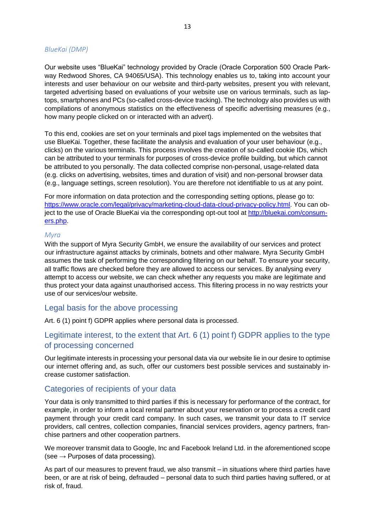#### *BlueKai (DMP)*

Our website uses "BlueKai" technology provided by Oracle (Oracle Corporation 500 Oracle Parkway Redwood Shores, CA 94065/USA). This technology enables us to, taking into account your interests and user behaviour on our website and third-party websites, present you with relevant, targeted advertising based on evaluations of your website use on various terminals, such as laptops, smartphones and PCs (so-called cross-device tracking). The technology also provides us with compilations of anonymous statistics on the effectiveness of specific advertising measures (e.g., how many people clicked on or interacted with an advert).

To this end, cookies are set on your terminals and pixel tags implemented on the websites that use BlueKai. Together, these facilitate the analysis and evaluation of your user behaviour (e.g., clicks) on the various terminals. This process involves the creation of so-called cookie IDs, which can be attributed to your terminals for purposes of cross-device profile building, but which cannot be attributed to you personally. The data collected comprise non-personal, usage-related data (e.g. clicks on advertising, websites, times and duration of visit) and non-personal browser data (e.g., language settings, screen resolution). You are therefore not identifiable to us at any point.

For more information on data protection and the corresponding setting options, please go to: [https://www.oracle.com/legal/privacy/marketing-cloud-data-cloud-privacy-policy.html.](https://www.oracle.com/legal/privacy/marketing-cloud-data-cloud-privacy-policy.html) You can object to the use of Oracle BlueKai via the corresponding opt-out tool at [http://bluekai.com/consum](http://bluekai.com/consumers.php)[ers.php.](http://bluekai.com/consumers.php)

#### *Myra*

With the support of Myra Security GmbH, we ensure the availability of our services and protect our infrastructure against attacks by criminals, botnets and other malware. Myra Security GmbH assumes the task of performing the corresponding filtering on our behalf. To ensure your security, all traffic flows are checked before they are allowed to access our services. By analysing every attempt to access our website, we can check whether any requests you make are legitimate and thus protect your data against unauthorised access. This filtering process in no way restricts your use of our services/our website.

#### Legal basis for the above processing

Art. 6 (1) point f) GDPR applies where personal data is processed.

## Legitimate interest, to the extent that Art. 6 (1) point f) GDPR applies to the type of processing concerned

Our legitimate interests in processing your personal data via our website lie in our desire to optimise our internet offering and, as such, offer our customers best possible services and sustainably increase customer satisfaction.

#### Categories of recipients of your data

Your data is only transmitted to third parties if this is necessary for performance of the contract, for example, in order to inform a local rental partner about your reservation or to process a credit card payment through your credit card company. In such cases, we transmit your data to IT service providers, call centres, collection companies, financial services providers, agency partners, franchise partners and other cooperation partners.

We moreover transmit data to Google, Inc and Facebook Ireland Ltd. in the aforementioned scope (see  $\rightarrow$  Purposes of data processing).

As part of our measures to prevent fraud, we also transmit – in situations where third parties have been, or are at risk of being, defrauded – personal data to such third parties having suffered, or at risk of, fraud.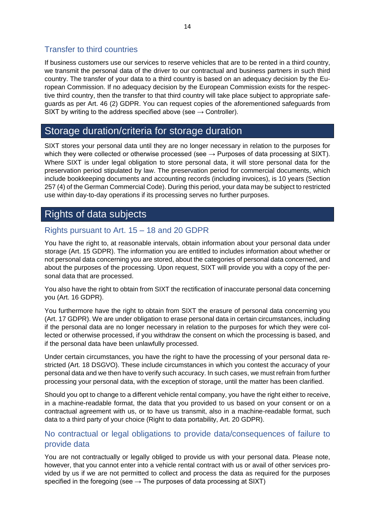## Transfer to third countries

If business customers use our services to reserve vehicles that are to be rented in a third country, we transmit the personal data of the driver to our contractual and business partners in such third country. The transfer of your data to a third country is based on an adequacy decision by the European Commission. If no adequacy decision by the European Commission exists for the respective third country, then the transfer to that third country will take place subject to appropriate safeguards as per Art. 46 (2) GDPR. You can request copies of the aforementioned safeguards from SIXT by writing to the address specified above (see  $\rightarrow$  Controller).

# Storage duration/criteria for storage duration

SIXT stores your personal data until they are no longer necessary in relation to the purposes for which they were collected or otherwise processed (see  $\rightarrow$  Purposes of data processing at SIXT). Where SIXT is under legal obligation to store personal data, it will store personal data for the preservation period stipulated by law. The preservation period for commercial documents, which include bookkeeping documents and accounting records (including invoices), is 10 years (Section 257 (4) of the German Commercial Code). During this period, your data may be subject to restricted use within day-to-day operations if its processing serves no further purposes.

# Rights of data subjects

# Rights pursuant to Art. 15 – 18 and 20 GDPR

You have the right to, at reasonable intervals, obtain information about your personal data under storage (Art. 15 GDPR). The information you are entitled to includes information about whether or not personal data concerning you are stored, about the categories of personal data concerned, and about the purposes of the processing. Upon request, SIXT will provide you with a copy of the personal data that are processed.

You also have the right to obtain from SIXT the rectification of inaccurate personal data concerning you (Art. 16 GDPR).

You furthermore have the right to obtain from SIXT the erasure of personal data concerning you (Art. 17 GDPR). We are under obligation to erase personal data in certain circumstances, including if the personal data are no longer necessary in relation to the purposes for which they were collected or otherwise processed, if you withdraw the consent on which the processing is based, and if the personal data have been unlawfully processed.

Under certain circumstances, you have the right to have the processing of your personal data restricted (Art. 18 DSGVO). These include circumstances in which you contest the accuracy of your personal data and we then have to verify such accuracy. In such cases, we must refrain from further processing your personal data, with the exception of storage, until the matter has been clarified.

Should you opt to change to a different vehicle rental company, you have the right either to receive, in a machine-readable format, the data that you provided to us based on your consent or on a contractual agreement with us, or to have us transmit, also in a machine-readable format, such data to a third party of your choice (Right to data portability, Art. 20 GDPR).

# No contractual or legal obligations to provide data/consequences of failure to provide data

You are not contractually or legally obliged to provide us with your personal data. Please note, however, that you cannot enter into a vehicle rental contract with us or avail of other services provided by us if we are not permitted to collect and process the data as required for the purposes specified in the foregoing (see  $\rightarrow$  The purposes of data processing at SIXT)